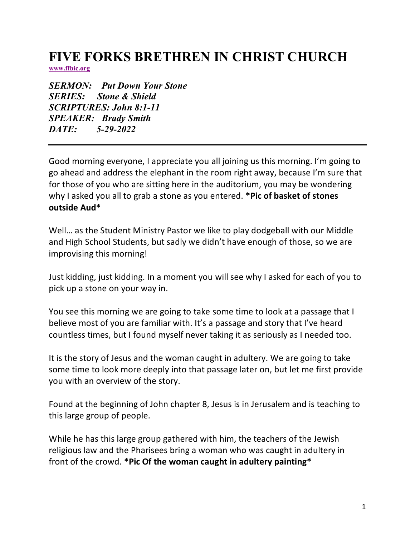# **FIVE FORKS BRETHREN IN CHRIST CHURCH**

**www.ffbic.org**

*SERMON: Put Down Your Stone SERIES: Stone & Shield SCRIPTURES: John 8:1-11 SPEAKER: Brady Smith DATE: 5-29-2022*

Good morning everyone, I appreciate you all joining us this morning. I'm going to go ahead and address the elephant in the room right away, because I'm sure that for those of you who are sitting here in the auditorium, you may be wondering why I asked you all to grab a stone as you entered. **\*Pic of basket of stones outside Aud\***

Well… as the Student Ministry Pastor we like to play dodgeball with our Middle and High School Students, but sadly we didn't have enough of those, so we are improvising this morning!

Just kidding, just kidding. In a moment you will see why I asked for each of you to pick up a stone on your way in.

You see this morning we are going to take some time to look at a passage that I believe most of you are familiar with. It's a passage and story that I've heard countless times, but I found myself never taking it as seriously as I needed too.

It is the story of Jesus and the woman caught in adultery. We are going to take some time to look more deeply into that passage later on, but let me first provide you with an overview of the story.

Found at the beginning of John chapter 8, Jesus is in Jerusalem and is teaching to this large group of people.

While he has this large group gathered with him, the teachers of the Jewish religious law and the Pharisees bring a woman who was caught in adultery in front of the crowd. **\*Pic Of the woman caught in adultery painting\***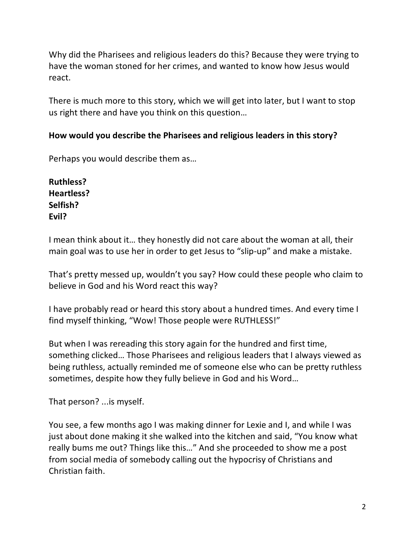Why did the Pharisees and religious leaders do this? Because they were trying to have the woman stoned for her crimes, and wanted to know how Jesus would react.

There is much more to this story, which we will get into later, but I want to stop us right there and have you think on this question…

## **How would you describe the Pharisees and religious leaders in this story?**

Perhaps you would describe them as…

**Ruthless? Heartless? Selfish? Evil?**

I mean think about it… they honestly did not care about the woman at all, their main goal was to use her in order to get Jesus to "slip-up" and make a mistake.

That's pretty messed up, wouldn't you say? How could these people who claim to believe in God and his Word react this way?

I have probably read or heard this story about a hundred times. And every time I find myself thinking, "Wow! Those people were RUTHLESS!"

But when I was rereading this story again for the hundred and first time, something clicked… Those Pharisees and religious leaders that I always viewed as being ruthless, actually reminded me of someone else who can be pretty ruthless sometimes, despite how they fully believe in God and his Word…

That person? ...is myself.

You see, a few months ago I was making dinner for Lexie and I, and while I was just about done making it she walked into the kitchen and said, "You know what really bums me out? Things like this…" And she proceeded to show me a post from social media of somebody calling out the hypocrisy of Christians and Christian faith.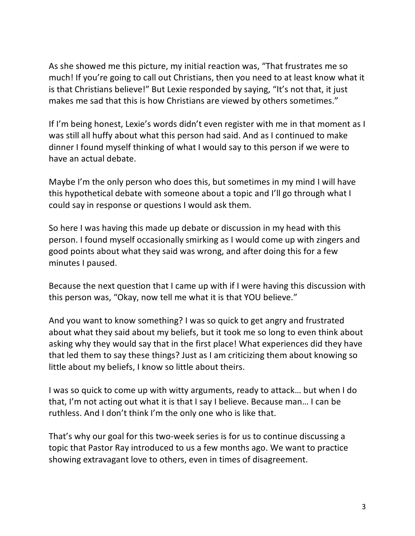As she showed me this picture, my initial reaction was, "That frustrates me so much! If you're going to call out Christians, then you need to at least know what it is that Christians believe!" But Lexie responded by saying, "It's not that, it just makes me sad that this is how Christians are viewed by others sometimes."

If I'm being honest, Lexie's words didn't even register with me in that moment as I was still all huffy about what this person had said. And as I continued to make dinner I found myself thinking of what I would say to this person if we were to have an actual debate.

Maybe I'm the only person who does this, but sometimes in my mind I will have this hypothetical debate with someone about a topic and I'll go through what I could say in response or questions I would ask them.

So here I was having this made up debate or discussion in my head with this person. I found myself occasionally smirking as I would come up with zingers and good points about what they said was wrong, and after doing this for a few minutes I paused.

Because the next question that I came up with if I were having this discussion with this person was, "Okay, now tell me what it is that YOU believe."

And you want to know something? I was so quick to get angry and frustrated about what they said about my beliefs, but it took me so long to even think about asking why they would say that in the first place! What experiences did they have that led them to say these things? Just as I am criticizing them about knowing so little about my beliefs, I know so little about theirs.

I was so quick to come up with witty arguments, ready to attack… but when I do that, I'm not acting out what it is that I say I believe. Because man… I can be ruthless. And I don't think I'm the only one who is like that.

That's why our goal for this two-week series is for us to continue discussing a topic that Pastor Ray introduced to us a few months ago. We want to practice showing extravagant love to others, even in times of disagreement.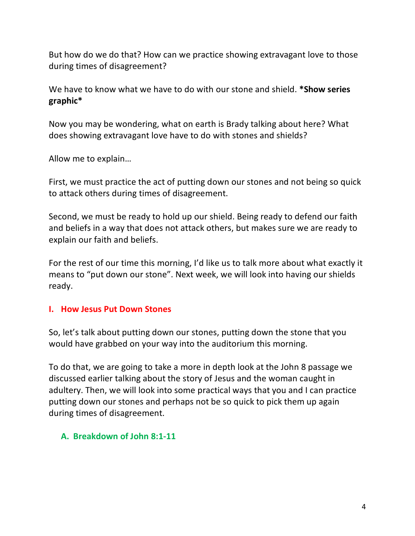But how do we do that? How can we practice showing extravagant love to those during times of disagreement?

We have to know what we have to do with our stone and shield. **\*Show series graphic\***

Now you may be wondering, what on earth is Brady talking about here? What does showing extravagant love have to do with stones and shields?

Allow me to explain…

First, we must practice the act of putting down our stones and not being so quick to attack others during times of disagreement.

Second, we must be ready to hold up our shield. Being ready to defend our faith and beliefs in a way that does not attack others, but makes sure we are ready to explain our faith and beliefs.

For the rest of our time this morning, I'd like us to talk more about what exactly it means to "put down our stone". Next week, we will look into having our shields ready.

#### **I. How Jesus Put Down Stones**

So, let's talk about putting down our stones, putting down the stone that you would have grabbed on your way into the auditorium this morning.

To do that, we are going to take a more in depth look at the John 8 passage we discussed earlier talking about the story of Jesus and the woman caught in adultery. Then, we will look into some practical ways that you and I can practice putting down our stones and perhaps not be so quick to pick them up again during times of disagreement.

#### **A. Breakdown of John 8:1-11**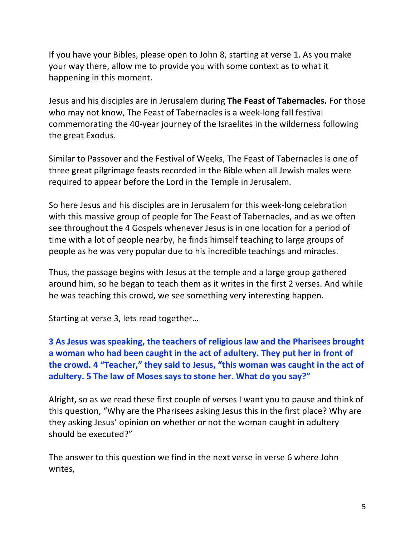If you have your Bibles, please open to John 8, starting at verse 1. As you make your way there, allow me to provide you with some context as to what it happening in this moment.

Jesus and his disciples are in Jerusalem during **The Feast of Tabernacles.** For those who may not know, The Feast of Tabernacles is a week-long fall festival commemorating the 40-year journey of the Israelites in the wilderness following the great Exodus.

Similar to Passover and the Festival of Weeks, The Feast of Tabernacles is one of three great pilgrimage feasts recorded in the Bible when all Jewish males were required to appear before the Lord in the Temple in Jerusalem.

So here Jesus and his disciples are in Jerusalem for this week-long celebration with this massive group of people for The Feast of Tabernacles, and as we often see throughout the 4 Gospels whenever Jesus is in one location for a period of time with a lot of people nearby, he finds himself teaching to large groups of people as he was very popular due to his incredible teachings and miracles.

Thus, the passage begins with Jesus at the temple and a large group gathered around him, so he began to teach them as it writes in the first 2 verses. And while he was teaching this crowd, we see something very interesting happen.

Starting at verse 3, lets read together…

# **3 As Jesus was speaking, the teachers of religious law and the Pharisees brought a woman who had been caught in the act of adultery. They put her in front of the crowd. 4 "Teacher," they said to Jesus, "this woman was caught in the act of adultery. 5 The law of Moses says to stone her. What do you say?"**

Alright, so as we read these first couple of verses I want you to pause and think of this question, "Why are the Pharisees asking Jesus this in the first place? Why are they asking Jesus' opinion on whether or not the woman caught in adultery should be executed?"

The answer to this question we find in the next verse in verse 6 where John writes,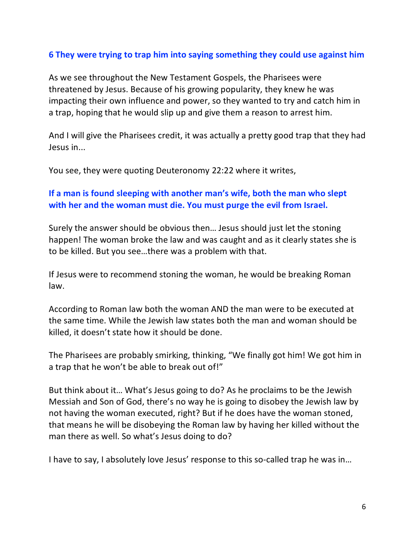## **6 They were trying to trap him into saying something they could use against him**

As we see throughout the New Testament Gospels, the Pharisees were threatened by Jesus. Because of his growing popularity, they knew he was impacting their own influence and power, so they wanted to try and catch him in a trap, hoping that he would slip up and give them a reason to arrest him.

And I will give the Pharisees credit, it was actually a pretty good trap that they had Jesus in...

You see, they were quoting Deuteronomy 22:22 where it writes,

# **If a man is found sleeping with another man's wife, both the man who slept with her and the woman must die. You must purge the evil from Israel.**

Surely the answer should be obvious then… Jesus should just let the stoning happen! The woman broke the law and was caught and as it clearly states she is to be killed. But you see…there was a problem with that.

If Jesus were to recommend stoning the woman, he would be breaking Roman law.

According to Roman law both the woman AND the man were to be executed at the same time. While the Jewish law states both the man and woman should be killed, it doesn't state how it should be done.

The Pharisees are probably smirking, thinking, "We finally got him! We got him in a trap that he won't be able to break out of!"

But think about it… What's Jesus going to do? As he proclaims to be the Jewish Messiah and Son of God, there's no way he is going to disobey the Jewish law by not having the woman executed, right? But if he does have the woman stoned, that means he will be disobeying the Roman law by having her killed without the man there as well. So what's Jesus doing to do?

I have to say, I absolutely love Jesus' response to this so-called trap he was in…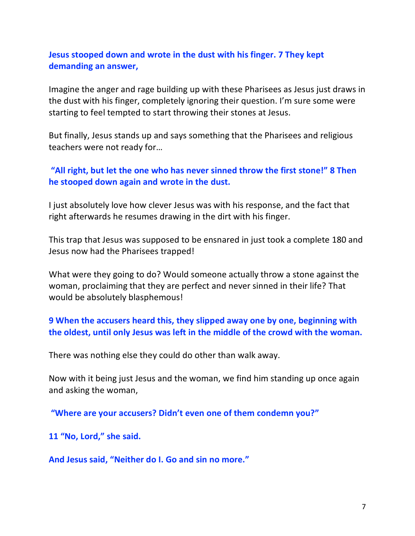## **Jesus stooped down and wrote in the dust with his finger. 7 They kept demanding an answer,**

Imagine the anger and rage building up with these Pharisees as Jesus just draws in the dust with his finger, completely ignoring their question. I'm sure some were starting to feel tempted to start throwing their stones at Jesus.

But finally, Jesus stands up and says something that the Pharisees and religious teachers were not ready for…

## **"All right, but let the one who has never sinned throw the first stone!" 8 Then he stooped down again and wrote in the dust.**

I just absolutely love how clever Jesus was with his response, and the fact that right afterwards he resumes drawing in the dirt with his finger.

This trap that Jesus was supposed to be ensnared in just took a complete 180 and Jesus now had the Pharisees trapped!

What were they going to do? Would someone actually throw a stone against the woman, proclaiming that they are perfect and never sinned in their life? That would be absolutely blasphemous!

#### **9 When the accusers heard this, they slipped away one by one, beginning with the oldest, until only Jesus was left in the middle of the crowd with the woman.**

There was nothing else they could do other than walk away.

Now with it being just Jesus and the woman, we find him standing up once again and asking the woman,

**"Where are your accusers? Didn't even one of them condemn you?"**

**11 "No, Lord," she said.**

**And Jesus said, "Neither do I. Go and sin no more."**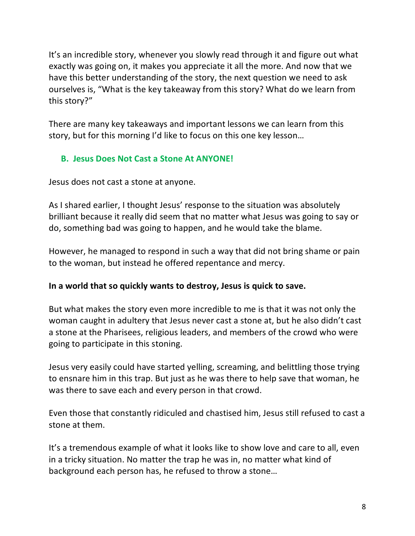It's an incredible story, whenever you slowly read through it and figure out what exactly was going on, it makes you appreciate it all the more. And now that we have this better understanding of the story, the next question we need to ask ourselves is, "What is the key takeaway from this story? What do we learn from this story?"

There are many key takeaways and important lessons we can learn from this story, but for this morning I'd like to focus on this one key lesson…

# **B. Jesus Does Not Cast a Stone At ANYONE!**

Jesus does not cast a stone at anyone.

As I shared earlier, I thought Jesus' response to the situation was absolutely brilliant because it really did seem that no matter what Jesus was going to say or do, something bad was going to happen, and he would take the blame.

However, he managed to respond in such a way that did not bring shame or pain to the woman, but instead he offered repentance and mercy.

# **In a world that so quickly wants to destroy, Jesus is quick to save.**

But what makes the story even more incredible to me is that it was not only the woman caught in adultery that Jesus never cast a stone at, but he also didn't cast a stone at the Pharisees, religious leaders, and members of the crowd who were going to participate in this stoning.

Jesus very easily could have started yelling, screaming, and belittling those trying to ensnare him in this trap. But just as he was there to help save that woman, he was there to save each and every person in that crowd.

Even those that constantly ridiculed and chastised him, Jesus still refused to cast a stone at them.

It's a tremendous example of what it looks like to show love and care to all, even in a tricky situation. No matter the trap he was in, no matter what kind of background each person has, he refused to throw a stone…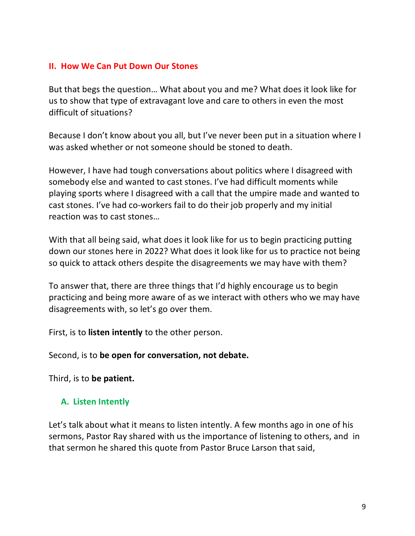#### **II. How We Can Put Down Our Stones**

But that begs the question… What about you and me? What does it look like for us to show that type of extravagant love and care to others in even the most difficult of situations?

Because I don't know about you all, but I've never been put in a situation where I was asked whether or not someone should be stoned to death.

However, I have had tough conversations about politics where I disagreed with somebody else and wanted to cast stones. I've had difficult moments while playing sports where I disagreed with a call that the umpire made and wanted to cast stones. I've had co-workers fail to do their job properly and my initial reaction was to cast stones…

With that all being said, what does it look like for us to begin practicing putting down our stones here in 2022? What does it look like for us to practice not being so quick to attack others despite the disagreements we may have with them?

To answer that, there are three things that I'd highly encourage us to begin practicing and being more aware of as we interact with others who we may have disagreements with, so let's go over them.

First, is to **listen intently** to the other person.

Second, is to **be open for conversation, not debate.**

Third, is to **be patient.**

#### **A. Listen Intently**

Let's talk about what it means to listen intently. A few months ago in one of his sermons, Pastor Ray shared with us the importance of listening to others, and in that sermon he shared this quote from Pastor Bruce Larson that said,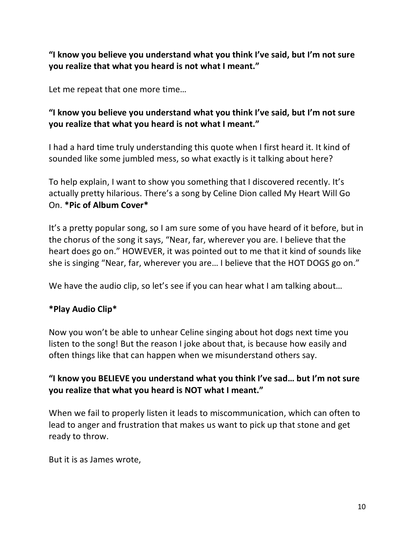**"I know you believe you understand what you think I've said, but I'm not sure you realize that what you heard is not what I meant."**

Let me repeat that one more time…

# **"I know you believe you understand what you think I've said, but I'm not sure you realize that what you heard is not what I meant."**

I had a hard time truly understanding this quote when I first heard it. It kind of sounded like some jumbled mess, so what exactly is it talking about here?

To help explain, I want to show you something that I discovered recently. It's actually pretty hilarious. There's a song by Celine Dion called My Heart Will Go On. **\*Pic of Album Cover\***

It's a pretty popular song, so I am sure some of you have heard of it before, but in the chorus of the song it says, "Near, far, wherever you are. I believe that the heart does go on." HOWEVER, it was pointed out to me that it kind of sounds like she is singing "Near, far, wherever you are… I believe that the HOT DOGS go on."

We have the audio clip, so let's see if you can hear what I am talking about...

# **\*Play Audio Clip\***

Now you won't be able to unhear Celine singing about hot dogs next time you listen to the song! But the reason I joke about that, is because how easily and often things like that can happen when we misunderstand others say.

# **"I know you BELIEVE you understand what you think I've sad… but I'm not sure you realize that what you heard is NOT what I meant."**

When we fail to properly listen it leads to miscommunication, which can often to lead to anger and frustration that makes us want to pick up that stone and get ready to throw.

But it is as James wrote,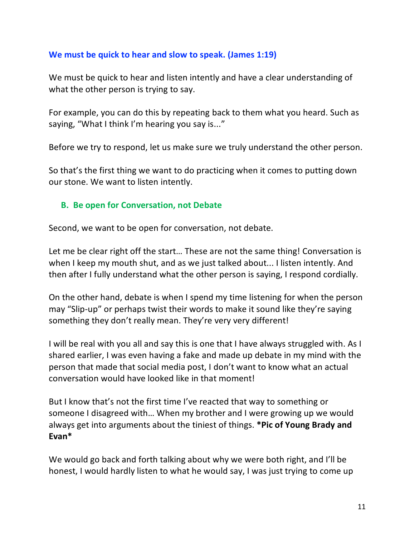## **We must be quick to hear and slow to speak. (James 1:19)**

We must be quick to hear and listen intently and have a clear understanding of what the other person is trying to say.

For example, you can do this by repeating back to them what you heard. Such as saying, "What I think I'm hearing you say is..."

Before we try to respond, let us make sure we truly understand the other person.

So that's the first thing we want to do practicing when it comes to putting down our stone. We want to listen intently.

## **B. Be open for Conversation, not Debate**

Second, we want to be open for conversation, not debate.

Let me be clear right off the start… These are not the same thing! Conversation is when I keep my mouth shut, and as we just talked about... I listen intently. And then after I fully understand what the other person is saying, I respond cordially.

On the other hand, debate is when I spend my time listening for when the person may "Slip-up" or perhaps twist their words to make it sound like they're saying something they don't really mean. They're very very different!

I will be real with you all and say this is one that I have always struggled with. As I shared earlier, I was even having a fake and made up debate in my mind with the person that made that social media post, I don't want to know what an actual conversation would have looked like in that moment!

But I know that's not the first time I've reacted that way to something or someone I disagreed with… When my brother and I were growing up we would always get into arguments about the tiniest of things. **\*Pic of Young Brady and Evan\***

We would go back and forth talking about why we were both right, and I'll be honest, I would hardly listen to what he would say, I was just trying to come up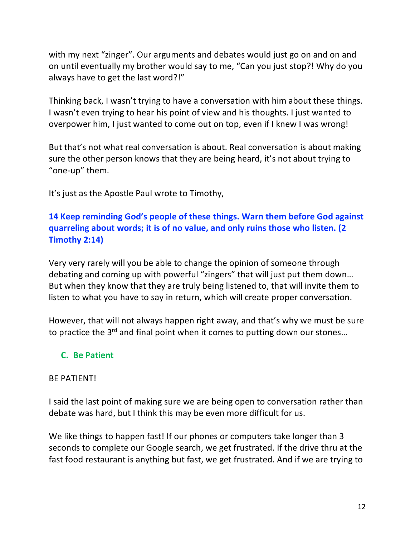with my next "zinger". Our arguments and debates would just go on and on and on until eventually my brother would say to me, "Can you just stop?! Why do you always have to get the last word?!"

Thinking back, I wasn't trying to have a conversation with him about these things. I wasn't even trying to hear his point of view and his thoughts. I just wanted to overpower him, I just wanted to come out on top, even if I knew I was wrong!

But that's not what real conversation is about. Real conversation is about making sure the other person knows that they are being heard, it's not about trying to "one-up" them.

It's just as the Apostle Paul wrote to Timothy,

# **14 Keep reminding God's people of these things. Warn them before God against quarreling about words; it is of no value, and only ruins those who listen. (2 Timothy 2:14)**

Very very rarely will you be able to change the opinion of someone through debating and coming up with powerful "zingers" that will just put them down… But when they know that they are truly being listened to, that will invite them to listen to what you have to say in return, which will create proper conversation.

However, that will not always happen right away, and that's why we must be sure to practice the 3<sup>rd</sup> and final point when it comes to putting down our stones...

# **C. Be Patient**

#### BE PATIENT!

I said the last point of making sure we are being open to conversation rather than debate was hard, but I think this may be even more difficult for us.

We like things to happen fast! If our phones or computers take longer than 3 seconds to complete our Google search, we get frustrated. If the drive thru at the fast food restaurant is anything but fast, we get frustrated. And if we are trying to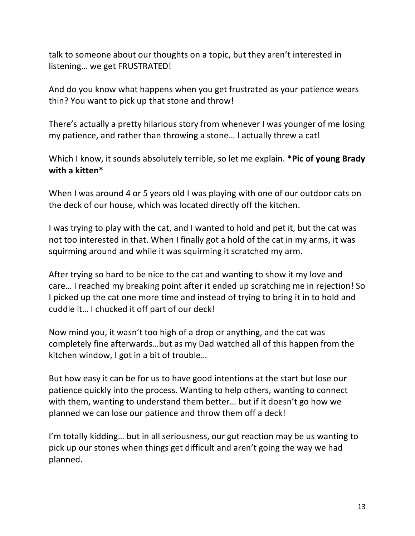talk to someone about our thoughts on a topic, but they aren't interested in listening… we get FRUSTRATED!

And do you know what happens when you get frustrated as your patience wears thin? You want to pick up that stone and throw!

There's actually a pretty hilarious story from whenever I was younger of me losing my patience, and rather than throwing a stone… I actually threw a cat!

Which I know, it sounds absolutely terrible, so let me explain. **\*Pic of young Brady with a kitten\***

When I was around 4 or 5 years old I was playing with one of our outdoor cats on the deck of our house, which was located directly off the kitchen.

I was trying to play with the cat, and I wanted to hold and pet it, but the cat was not too interested in that. When I finally got a hold of the cat in my arms, it was squirming around and while it was squirming it scratched my arm.

After trying so hard to be nice to the cat and wanting to show it my love and care… I reached my breaking point after it ended up scratching me in rejection! So I picked up the cat one more time and instead of trying to bring it in to hold and cuddle it… I chucked it off part of our deck!

Now mind you, it wasn't too high of a drop or anything, and the cat was completely fine afterwards…but as my Dad watched all of this happen from the kitchen window, I got in a bit of trouble…

But how easy it can be for us to have good intentions at the start but lose our patience quickly into the process. Wanting to help others, wanting to connect with them, wanting to understand them better… but if it doesn't go how we planned we can lose our patience and throw them off a deck!

I'm totally kidding… but in all seriousness, our gut reaction may be us wanting to pick up our stones when things get difficult and aren't going the way we had planned.